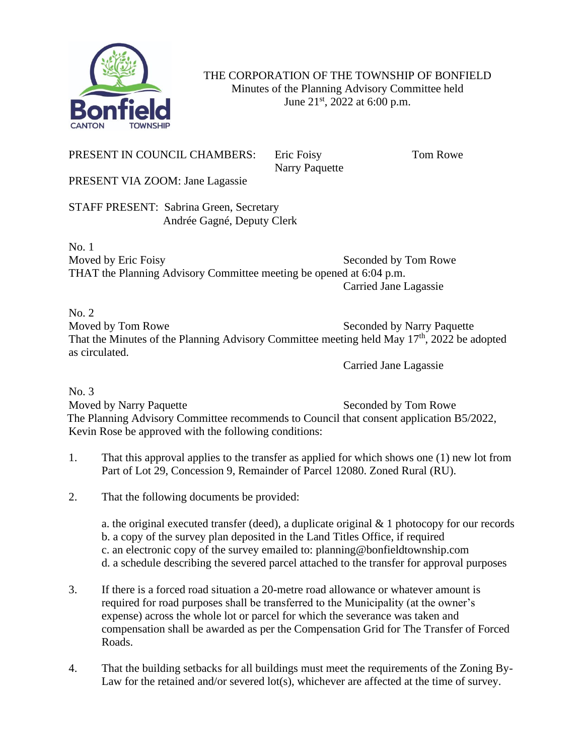

THE CORPORATION OF THE TOWNSHIP OF BONFIELD Minutes of the Planning Advisory Committee held June  $21^{st}$ , 2022 at 6:00 p.m.

## PRESENT IN COUNCIL CHAMBERS: Eric Foisy Tom Rowe

Narry Paquette

PRESENT VIA ZOOM: Jane Lagassie

STAFF PRESENT: Sabrina Green, Secretary Andrée Gagné, Deputy Clerk

No. 1 Moved by Eric Foisy Seconded by Tom Rowe THAT the Planning Advisory Committee meeting be opened at 6:04 p.m. Carried Jane Lagassie

No. 2 Moved by Tom Rowe Seconded by Narry Paquette That the Minutes of the Planning Advisory Committee meeting held May  $17<sup>th</sup>$ , 2022 be adopted as circulated.

Carried Jane Lagassie

No. 3 Moved by Narry Paquette Seconded by Tom Rowe The Planning Advisory Committee recommends to Council that consent application B5/2022, Kevin Rose be approved with the following conditions:

- 1. That this approval applies to the transfer as applied for which shows one (1) new lot from Part of Lot 29, Concession 9, Remainder of Parcel 12080. Zoned Rural (RU).
- 2. That the following documents be provided:

a. the original executed transfer (deed), a duplicate original  $& 1$  photocopy for our records b. a copy of the survey plan deposited in the Land Titles Office, if required c. an electronic copy of the survey emailed to: planning@bonfieldtownship.com d. a schedule describing the severed parcel attached to the transfer for approval purposes

- 3. If there is a forced road situation a 20-metre road allowance or whatever amount is required for road purposes shall be transferred to the Municipality (at the owner's expense) across the whole lot or parcel for which the severance was taken and compensation shall be awarded as per the Compensation Grid for The Transfer of Forced Roads.
- 4. That the building setbacks for all buildings must meet the requirements of the Zoning By-Law for the retained and/or severed lot(s), whichever are affected at the time of survey.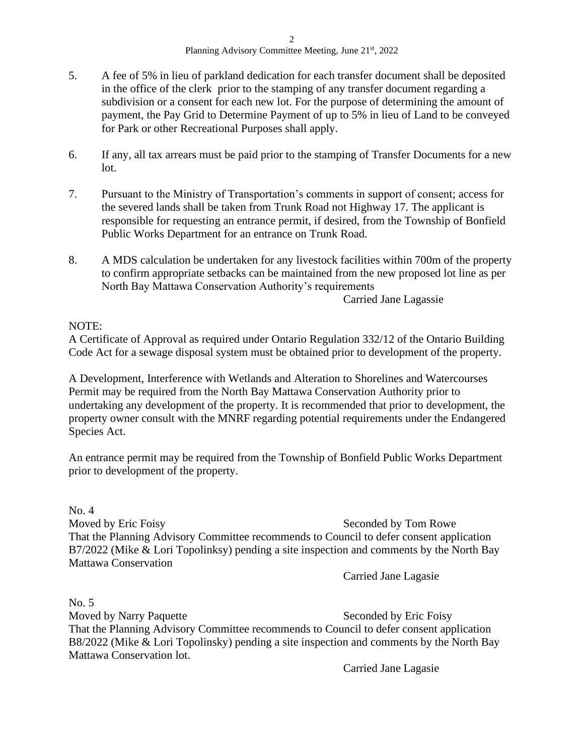- 5. A fee of 5% in lieu of parkland dedication for each transfer document shall be deposited in the office of the clerk prior to the stamping of any transfer document regarding a subdivision or a consent for each new lot. For the purpose of determining the amount of payment, the Pay Grid to Determine Payment of up to 5% in lieu of Land to be conveyed for Park or other Recreational Purposes shall apply.
- 6. If any, all tax arrears must be paid prior to the stamping of Transfer Documents for a new lot.
- 7. Pursuant to the Ministry of Transportation's comments in support of consent; access for the severed lands shall be taken from Trunk Road not Highway 17. The applicant is responsible for requesting an entrance permit, if desired, from the Township of Bonfield Public Works Department for an entrance on Trunk Road.
- 8. A MDS calculation be undertaken for any livestock facilities within 700m of the property to confirm appropriate setbacks can be maintained from the new proposed lot line as per North Bay Mattawa Conservation Authority's requirements

Carried Jane Lagassie

## NOTE:

A Certificate of Approval as required under Ontario Regulation 332/12 of the Ontario Building Code Act for a sewage disposal system must be obtained prior to development of the property.

A Development, Interference with Wetlands and Alteration to Shorelines and Watercourses Permit may be required from the North Bay Mattawa Conservation Authority prior to undertaking any development of the property. It is recommended that prior to development, the property owner consult with the MNRF regarding potential requirements under the Endangered Species Act.

An entrance permit may be required from the Township of Bonfield Public Works Department prior to development of the property.

No. 4 Moved by Eric Foisy Seconded by Tom Rowe That the Planning Advisory Committee recommends to Council to defer consent application B7/2022 (Mike & Lori Topolinksy) pending a site inspection and comments by the North Bay Mattawa Conservation

Carried Jane Lagasie

No. 5 Moved by Narry Paquette Seconded by Eric Foisy That the Planning Advisory Committee recommends to Council to defer consent application B8/2022 (Mike & Lori Topolinsky) pending a site inspection and comments by the North Bay Mattawa Conservation lot.

Carried Jane Lagasie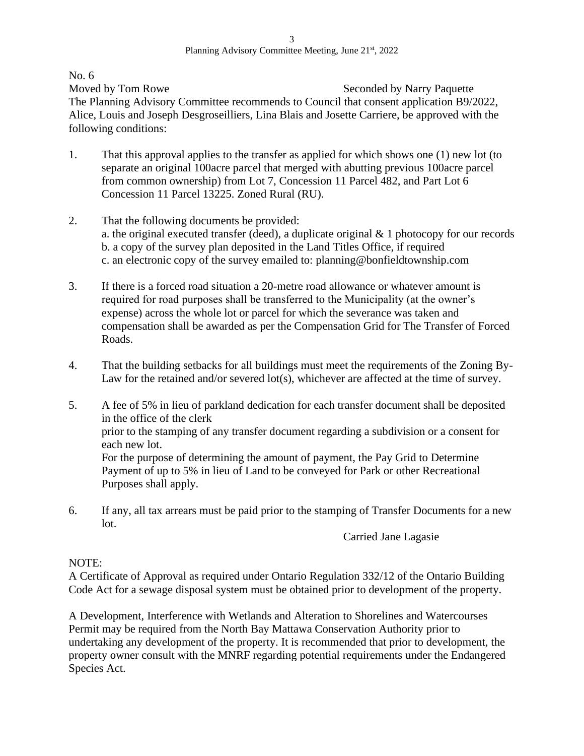No. 6

Moved by Tom Rowe Seconded by Narry Paquette The Planning Advisory Committee recommends to Council that consent application B9/2022, Alice, Louis and Joseph Desgroseilliers, Lina Blais and Josette Carriere, be approved with the following conditions:

- 1. That this approval applies to the transfer as applied for which shows one (1) new lot (to separate an original 100acre parcel that merged with abutting previous 100acre parcel from common ownership) from Lot 7, Concession 11 Parcel 482, and Part Lot 6 Concession 11 Parcel 13225. Zoned Rural (RU).
- 2. That the following documents be provided: a. the original executed transfer (deed), a duplicate original & 1 photocopy for our records b. a copy of the survey plan deposited in the Land Titles Office, if required c. an electronic copy of the survey emailed to: planning@bonfieldtownship.com
- 3. If there is a forced road situation a 20-metre road allowance or whatever amount is required for road purposes shall be transferred to the Municipality (at the owner's expense) across the whole lot or parcel for which the severance was taken and compensation shall be awarded as per the Compensation Grid for The Transfer of Forced Roads.
- 4. That the building setbacks for all buildings must meet the requirements of the Zoning By-Law for the retained and/or severed lot(s), whichever are affected at the time of survey.
- 5. A fee of 5% in lieu of parkland dedication for each transfer document shall be deposited in the office of the clerk prior to the stamping of any transfer document regarding a subdivision or a consent for each new lot. For the purpose of determining the amount of payment, the Pay Grid to Determine Payment of up to 5% in lieu of Land to be conveyed for Park or other Recreational Purposes shall apply.
- 6. If any, all tax arrears must be paid prior to the stamping of Transfer Documents for a new lot.

Carried Jane Lagasie

## NOTE:

A Certificate of Approval as required under Ontario Regulation 332/12 of the Ontario Building Code Act for a sewage disposal system must be obtained prior to development of the property.

A Development, Interference with Wetlands and Alteration to Shorelines and Watercourses Permit may be required from the North Bay Mattawa Conservation Authority prior to undertaking any development of the property. It is recommended that prior to development, the property owner consult with the MNRF regarding potential requirements under the Endangered Species Act.